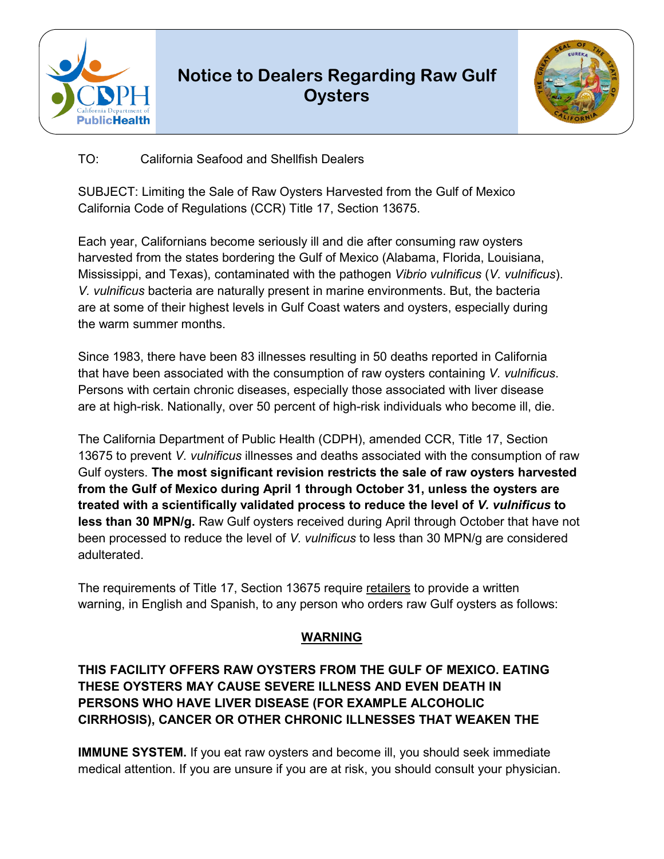

## **Notice to Dealers Regarding Raw Gulf Oysters**



TO: California Seafood and Shellfish Dealers

SUBJECT: Limiting the Sale of Raw Oysters Harvested from the Gulf of Mexico California Code of Regulations (CCR) Title 17, Section 13675.

Each year, Californians become seriously ill and die after consuming raw oysters harvested from the states bordering the Gulf of Mexico (Alabama, Florida, Louisiana, Mississippi, and Texas), contaminated with the pathogen *Vibrio vulnificus* (*V. vulnificus*). *V. vulnificus* bacteria are naturally present in marine environments. But, the bacteria are at some of their highest levels in Gulf Coast waters and oysters, especially during the warm summer months.

Since 1983, there have been 83 illnesses resulting in 50 deaths reported in California that have been associated with the consumption of raw oysters containing *V. vulnificus*. Persons with certain chronic diseases, especially those associated with liver disease are at high-risk. Nationally, over 50 percent of high-risk individuals who become ill, die.

 been processed to reduce the level of *V. vulnificus* to less than 30 MPN/g are considered The California Department of Public Health (CDPH), amended CCR, Title 17, Section 13675 to prevent *V. vulnificus* illnesses and deaths associated with the consumption of raw Gulf oysters. **The most significant revision restricts the sale of raw oysters harvested from the Gulf of Mexico during April 1 through October 31, unless the oysters are treated with a scientifically validated process to reduce the level of** *V. vulnificus* **to less than 30 MPN/g.** Raw Gulf oysters received during April through October that have not adulterated.

The requirements of Title 17, Section 13675 require retailers to provide a written warning, in English and Spanish, to any person who orders raw Gulf oysters as follows:

## **WARNING**

## **THIS FACILITY OFFERS RAW OYSTERS FROM THE GULF OF MEXICO. EATING THESE OYSTERS MAY CAUSE SEVERE ILLNESS AND EVEN DEATH IN PERSONS WHO HAVE LIVER DISEASE (FOR EXAMPLE ALCOHOLIC CIRRHOSIS), CANCER OR OTHER CHRONIC ILLNESSES THAT WEAKEN THE**

**IMMUNE SYSTEM.** If you eat raw oysters and become ill, you should seek immediate medical attention. If you are unsure if you are at risk, you should consult your physician.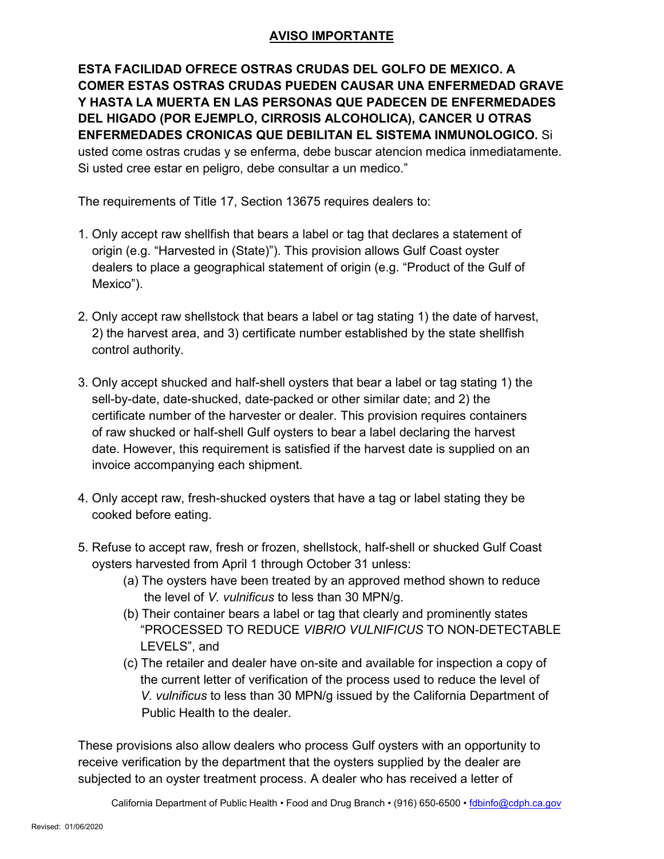## **AVISO IMPORTANTE**

 **ENFERMEDADES CRONICAS QUE DEBILITAN EL SISTEMA INMUNOLOGICO.** Si **ESTA FACILIDAD OFRECE OSTRAS CRUDAS DEL GOLFO DE MEXICO. A COMER ESTAS OSTRAS CRUDAS PUEDEN CAUSAR UNA ENFERMEDAD GRAVE Y HASTA LA MUERTA EN LAS PERSONAS QUE PADECEN DE ENFERMEDADES DEL HIGADO (POR EJEMPLO, CIRROSIS ALCOHOLICA), CANCER U OTRAS**  usted come ostras crudas y se enferma, debe buscar atencion medica inmediatamente. Si usted cree estar en peligro, debe consultar a un medico."

The requirements of Title 17, Section 13675 requires dealers to:

- 1. Only accept raw shellfish that bears a label or tag that declares a statement of origin (e.g. "Harvested in (State)"). This provision allows Gulf Coast oyster dealers to place a geographical statement of origin (e.g. "Product of the Gulf of Mexico").
- 2. Only accept raw shellstock that bears a label or tag stating 1) the date of harvest, 2) the harvest area, and 3) certificate number established by the state shellfish control authority.
- 3. Only accept shucked and half-shell oysters that bear a label or tag stating 1) the sell-by-date, date-shucked, date-packed or other similar date; and 2) the certificate number of the harvester or dealer. This provision requires containers of raw shucked or half-shell Gulf oysters to bear a label declaring the harvest date. However, this requirement is satisfied if the harvest date is supplied on an invoice accompanying each shipment.
- 4. Only accept raw, fresh-shucked oysters that have a tag or label stating they be cooked before eating.
- 5. Refuse to accept raw, fresh or frozen, shellstock, half-shell or shucked Gulf Coast oysters harvested from April 1 through October 31 unless:
	- (a) The oysters have been treated by an approved method shown to reduce the level of *V. vulnificus* to less than 30 MPN/g.
	- (b) Their container bears a label or tag that clearly and prominently states "PROCESSED TO REDUCE *VIBRIO VULNIFICUS* TO NON-DETECTABLE LEVELS", and
	- Public Health to the dealer. (c) The retailer and dealer have on-site and available for inspection a copy of the current letter of verification of the process used to reduce the level of *V. vulnificus* to less than 30 MPN/g issued by the California Department of

These provisions also allow dealers who process Gulf oysters with an opportunity to receive verification by the department that the oysters supplied by the dealer are subjected to an oyster treatment process. A dealer who has received a letter of